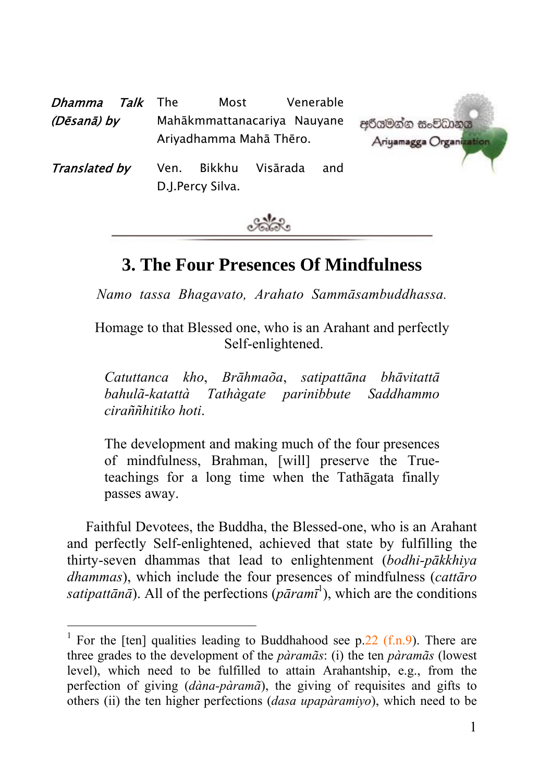| Dhamma        | <i>Talk</i> The |                                                        | Most | Venerable |                                         |
|---------------|-----------------|--------------------------------------------------------|------|-----------|-----------------------------------------|
| (Dēsanā) by   |                 | Mahākmmattanacariya Nauyane<br>Ariyadhamma Mahā Thēro. |      |           | අරියමන්න සංවිධානය<br>Ariyamagga Organiz |
| Translated by |                 | Bikkhu<br>Visārada<br>Ven.<br>and<br>D.J.Percy Silva.  |      |           |                                         |



# **3. The Four Presences Of Mindfulness**

*Namo tassa Bhagavato, Arahato Sammāsambuddhassa.* 

Homage to that Blessed one, who is an Arahant and perfec[tly](#page-0-0) Self-enlightened.

*Catuttanca kho*, *Brāhmaõa*, *satipattāna bhāvitattā bahulã-katattà Tathàgate parinibbute Saddhammo ciraññhitiko hoti*.

The development and making much of the four presences of mindfulness, Brahman, [will] preserve the Trueteachings for a long time when the Tathāgata finally passes away.

Faithful Devotees, the Buddha, the Blessed-one, who is an Arahant and perfectly Self-enlightened, achieved that state by fulfilling the thirty-seven dhammas that lead to enlightenment (*bodhi-pākkhiya dhammas*), which include the four presences of mindfulness (*cattāro*  satipatt $\bar{a}$ *n* $\bar{a}$ ). All of the perfections ( $\bar{p}$  $\bar{a}$ *ramī*<sup>1</sup>), which are the conditions

<span id="page-0-0"></span> $\frac{1}{1}$ <sup>1</sup> For the [ten] qualities leading to Buddhahood see p.22 (f.n.9). There are three grades to the development of the *pàramãs*: (i) the ten *pàramãs* (lowest level), which need to be fulfilled to attain Arahantship, e.g., from the perfection of giving (*dàna-pàramã*), the giving of requisites and gifts to others (ii) the ten higher perfections (*dasa upapàramiyo*), which need to be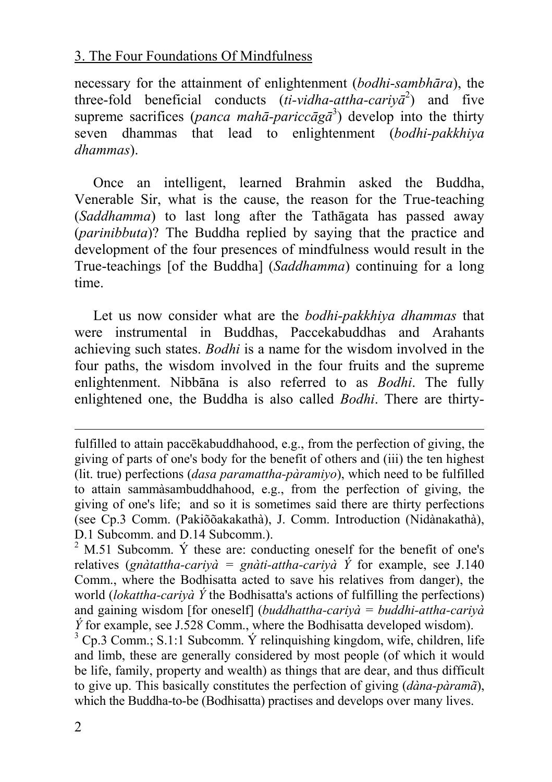necessary for the attainment of enlightenment (*bodhi-sambhāra*), the three-fold beneficial conducts  $(ii-vidha-attribute-cariy^2)$  and five supreme sacrifices (*panca mahā-pariccāgā*<sup>3</sup> ) develop into the thirty seven dhammas that lead to enlightenment (*bodhi-pakkhiya dhammas*).

Once an intelligent, learned Brahmin asked the Buddha, Venerable Sir, what is the cause, the reason for the True-teaching (*Saddhamma*) to last long after the Tathāgata has passed away (*parinibbuta*)? The Buddha replied by saying that the practice and development of the four presences of mindfulness would result in the True-teachings [of the Buddha] (*Saddhamma*) continuing for a long time.

Let us now consider what are the *bodhi-pakkhiya dhammas* that were instrumental in Buddhas, Paccekabuddhas and Arahants achieving such states. *Bodhi* is a name for the wisdom involved in the four paths, the wisdom involved in the four fruits and the supreme enlightenment. Nibbāna is also referred to as *Bodhi*. The fully enlightened one, the Buddha is also called *Bodhi*. There are thirty-

l

fulfilled to attain paccēkabuddhahood, e.g., from the perfection of giving, the giving of parts of one's body for the benefit of others and (iii) the ten highest (lit. true) perfections (*dasa paramattha-pàramiyo*), which need to be fulfilled to attain sammàsambuddhahood, e.g., from the perfection of giving, the giving of one's life; and so it is sometimes said there are thirty perfections (see Cp.3 Comm. (Pakiõõakakathà), J. Comm. Introduction (Nidànakathà), D.1 Subcomm. and D.14 Subcomm.).

 $2$  M.51 Subcomm.  $\acute{Y}$  these are: conducting oneself for the benefit of one's relatives (*gnàtattha-cariyà = gnàti-attha-cariyà Ý* for example, see J.140 Comm., where the Bodhisatta acted to save his relatives from danger), the world (*lokattha-cariyà Ý* the Bodhisatta's actions of fulfilling the perfections) and gaining wisdom [for oneself] (*buddhattha-cariyà = buddhi-attha-cariyà*   $\acute{Y}$  for example, see J.528 Comm., where the Bodhisatta developed wisdom).

 $3$  Cp.3 Comm.; S.1:1 Subcomm.  $\acute{Y}$  relinguishing kingdom, wife, children, life and limb, these are generally considered by most people (of which it would be life, family, property and wealth) as things that are dear, and thus difficult to give up. This basically constitutes the perfection of giving (*dàna-pàramã*), which the Buddha-to-be (Bodhisatta) practises and develops over many lives.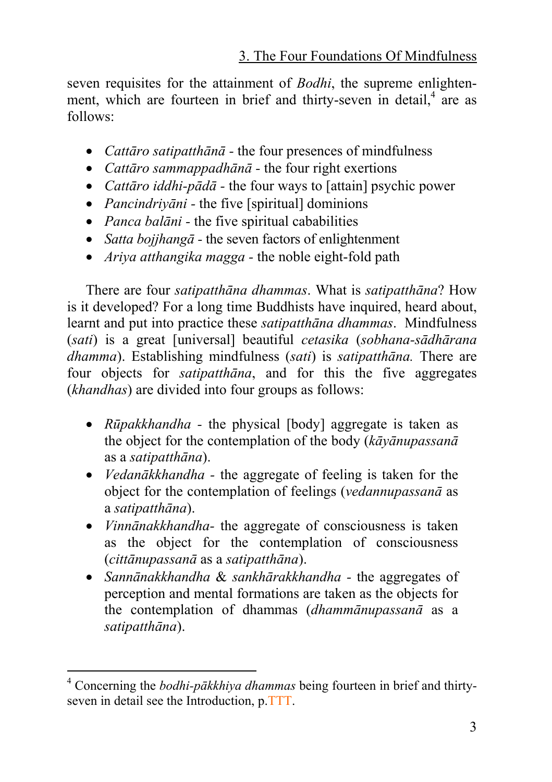seven requisites for the attainment of *Bodhi*, the supreme enlightenment, which are fourteen in brief and thirty-seven in detail,<sup>4</sup> are as follows:

- *Cattāro satipatthānā* the four presences of mindfulness
- *Cattāro sammappadhānā -* the four right exertions
- *Cattāro iddhi-pādā* the four ways to [attain] psychic power
- *Pancindriyāni -* the five [spiritual] dominions
- *Panca balāni* the five spiritual cababilities
- *Satta bojjhangā -* the seven factors of enlightenment
- *Ariya atthangika magga* the noble eight-fold path

There are four *satipatthāna dhammas*. What is *satipatthāna*? How is it developed? For a long time Buddhists have inquired, heard about, learnt and put into practice these *satipatthāna dhammas*. Mindfulness (*sati*) is a great [universal] beautiful *cetasika* (*sobhana-sādhārana dhamma*). Establishing mindfulness (*sati*) is *satipatthāna.* There are four objects for *satipatthāna*, and for this the five aggregates (*khandhas*) are divided into four groups as follows:

- *Rūpakkhandha* the physical [body] aggregate is taken as the object for the contemplation of the body (*kāyānupassanā* as a *satipatthāna*).
- *Vedanākkhandha* the aggregate of feeling is taken for the object for the contemplation of feelings (*vedannupassanā* as a *satipatthāna*).
- *Vinnānakkhandha-* the aggregate of consciousness is taken as the object for the contemplation of consciousness (*cittānupassanā* as a *satipatthāna*).
- *Sannānakkhandha* & *sankhārakkhandha* the aggregates of perception and mental formations are taken as the objects for the contemplation of dhammas (*dhammānupassanā* as a *satipatthāna*).

 $\frac{1}{4}$  Concerning the *bodhi-pākkhiya dhammas* being fourteen in brief and thirtyseven in detail see the Introduction, p.TTT.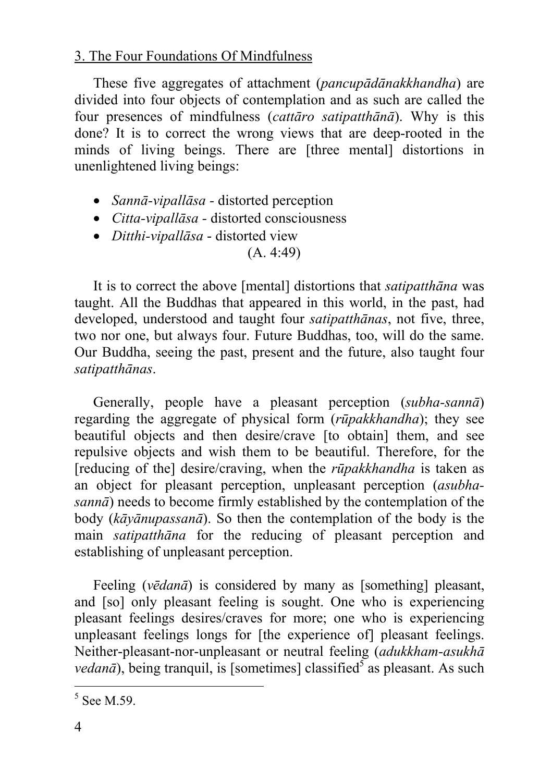These five aggregates of attachment (*pancupādānakkhandha*) are divided into four objects of contemplation and as such are called the four presences of mindfulness (*cattāro satipatthānā*). Why is this done? It is to correct the wrong views that are deep-rooted in the minds of living beings. There are [three mental] distortions in unenlightened living beings:

- *Sannā-vipallāsa -* distorted perception
- *Citta-vipallāsa -* distorted consciousness
- *Ditthi-vipallāsa* distorted view

# (A. 4:49)

It is to correct the above [mental] distortions that *satipatthāna* was taught. All the Buddhas that appeared in this world, in the past, had developed, understood and taught four *satipatthānas*, not five, three, two nor one, but always four. Future Buddhas, too, will do the same. Our Buddha, seeing the past, present and the future, also taught four *satipatthānas*.

Generally, people have a pleasant perception (*subha-sannā*[\)](#page-3-0)  regarding the aggregate of physical form (*rūpakkhandha*); they see beautiful objects and then desire/crave [to obtain] them, and see repulsive objects and wish them to be beautiful. Therefore, for the [reducing of the] desire/craving, when the *rūpakkhandha* is taken as an object for pleasant perception, unpleasant perception (*asubhasannā*) needs to become firmly established by the contemplation of the body (*kāyānupassanā*). So then the contemplation of the body is the main *satipatthāna* for the reducing of pleasant perception and establishing of unpleasant perception.

Feeling (*vēdanā*) is considered by many as [something] pleasant, and [so] only pleasant feeling is sought. One who is experiencing pleasant feelings desires/craves for more; one who is experiencing unpleasant feelings longs for [the experience of] pleasant feelings. Neither-pleasant-nor-unpleasant or neutral feeling (*adukkham-asukhā vedanā*), being tranquil, is [sometimes] classified<sup>5</sup> as pleasant. As such

<span id="page-3-0"></span> <sup>5</sup>  $<sup>5</sup>$  See M.59.</sup>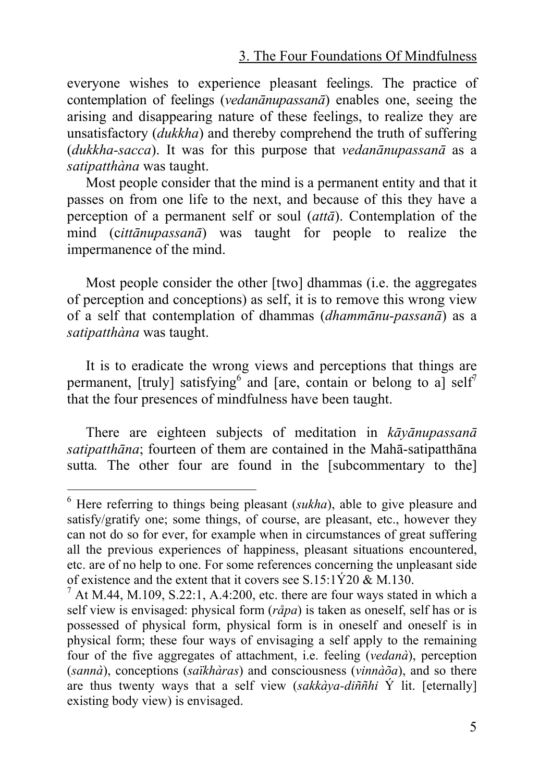everyone wishes to experience pleasant feelings. The practice of contemplation of feelings (*vedanānupassanā*) enables one, seeing the arising and disappearing nature of these feeling[s,](#page-4-0) to realize they are unsatisfactory (*dukkha*) and thereby comprehend the truth of suffering (*dukkha-sacca*). It was for this purpose that *vedanānupassanā* as a *satipatthàna* was taught.

Most people consider that the mind is a permanent entity and that it passes on from one life to the next, and because of this they have a perception of a permanent self or soul (*attā*). Contemplation of the mind (c*ittānupassanā*) was taught for people to realize the impermanence of the mind.

Most people consider the other [two] dhammas (i.e. the aggregates of perception and conceptions) as self, it is to remove this wrong view of a self that contemplation of dhammas (*dhammānu-passanā*) as a *satipatthàna* was taught.

It is to eradicate the wrong views and perceptions that things are permanent, [truly] satisfying  $\delta$  and [are, contain or belong to a] self<sup>7</sup> that the four presences of mindfulness have been taught.

There are eighteen subjects of meditation in *kāyānupassanā satipatthāna*; fourteen of them are contained in the Mahā-satipatthāna sutta. The other four are found in the [subcommentary to the]

<span id="page-4-0"></span> <sup>6</sup> Here referring to things being pleasant (*sukha*), able to give pleasure and satisfy/gratify one; some things, of course, are pleasant, etc., however they can not do so for ever, for example when in circumstances of great suffering all the previous experiences of happiness, pleasant situations encountered, etc. are of no help to one. For some references concerning the unpleasant side of existence and the extent that it covers see S.15:1Ý20 & M.130.<br><sup>7</sup> At M.44, M.109, S.22:1, A.4:200, etc. there are four ways stated in which a

self view is envisaged: physical form (*råpa*) is taken as oneself, self has or is possessed of physical form, physical form is in oneself and oneself is in physical form; these four ways of envisaging a self apply to the remaining four of the five aggregates of attachment, i.e. feeling (*vedanà*), perception (*sannà*), conceptions (*saïkhàras*) and consciousness (*vinnàõa*), and so there are thus twenty ways that a self view (*sakkàya-diññhi* Ý lit. [eternally] existing body view) is envisaged.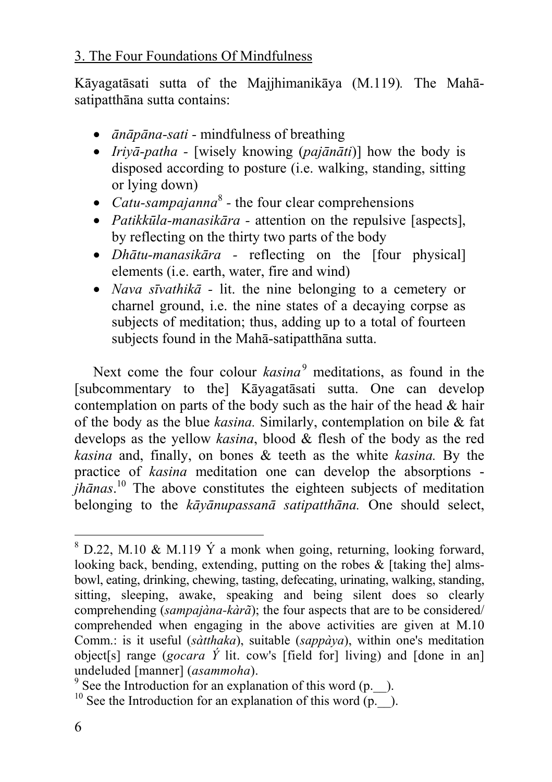Kāyagatāsati sutta of the Majjhimanikāya (M.119)*.* The Mahāsatipatthāna sutta contains:

- *ānāpāna-sati -* mindfulness of breathing
- *Iriyā-patha -* [wisely knowing (*pajānāti*)] how the body is disposed according to posture (i.e. walking, standing, sitting or lying down)
- *Catu-sampajanna*<sup>8</sup> the four clear comprehensions
- *Patikkūla-manasikār[a -](#page-5-0)* attention on the repulsive [aspects], by reflecting on the thirty two parts of the body
- *Dhātu-manasikāra -* reflecting on the [four physical] elements (i.e. earth, water, fire and wind)
- *Nava sīvathikā -* lit. the nine belonging to a cemetery or charnel ground, i.e. the nine states of a decaying corpse as subjects of meditation; thus, adding up to a total of fourteen subjects found in the Mahā-satipatthāna sutta.

Next come the four colour *kasina*<sup>9</sup> meditations, as found in the [subcommentary to the] Kāyagatāsati sutta. One can develop contemplation on parts of the body such as the hair of the head  $\&$  hair of the body as the blue *kasina.* Similarly, contemplation on bile & fat develops as the yellow *kasina*, blood & flesh of the body as the red *kasina* and, finally, on bones & teeth as the white *kasina.* By the practice of *kasina* meditation one can develop the absorptions *jhānas*. <sup>10</sup> The above constitutes the eighteen subjects of meditation belonging to the *kāyānupassanā satipatthāna.* One should select,

 <sup>8</sup>  $8$  D.22, M.10 & M.119  $\acute{Y}$  a monk when going, returning, looking forward, looking back, bending, extending, putting on the robes  $\&$  [taking the] almsbowl, eating, drinking, chewing, tasting, defecating, urinating, walking, standing, sitting, sleeping, awake, speaking and being silent does so clearly comprehending (*sampajàna-kàrã*); the four aspects that are to be considered/ comprehended when engaging in the above activities are given at M.10 Comm.: is it useful (*sàtthaka*), suitable (*sappàya*), within one's meditation object[s] range (*gocara Ý* lit. cow's [field for] living) and [done in an] undeluded [manner] (*asammoha*).<br><sup>9</sup> See the Introduction for an explanation of this word (p. ).

<span id="page-5-0"></span><sup>&</sup>lt;sup>10</sup> See the Introduction for an explanation of this word  $(p_{\perp})$ .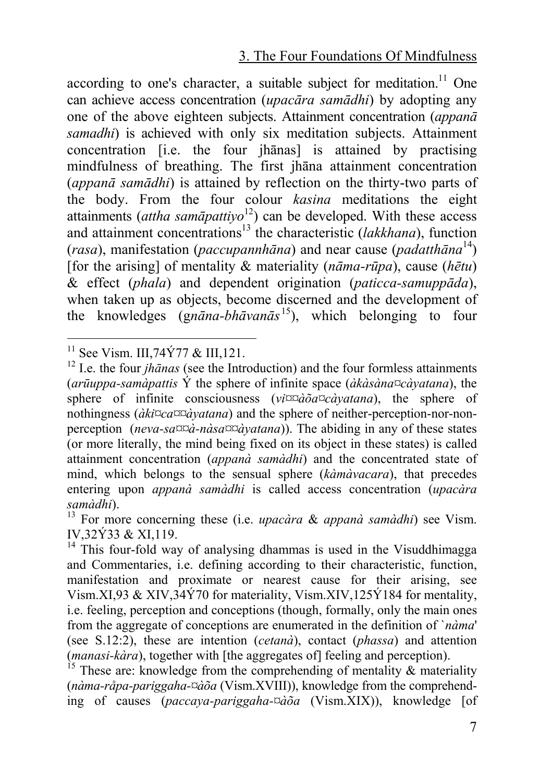according to one's character, a suitable subject for meditation.<sup>11</sup> One can achieve access concentration (*upacāra samādhi*) by adopting any one of the above eighteen subjects. Attainment concentration (*appanā samadhi*) is achieved with only six meditation subjects. Attainment concentration [i.e. the four jhānas] is attained by practising mindfulness of breathing. The first jhāna attainment concentration (*appanā samādhi*) is attained by reflection on the thirty-two parts of the body. From the four colour *kasina* meditations the eight attainments (*attha samāpattiyo*12) can be developed. With these access and attainment concentrations<sup>13</sup> the characteristic (*lakkhana*), function (*rasa*), manifestation (*paccupannhāna*) and near cause (*padatthāna* 14) [for the arising] of mentality & materiality (*nāma-rūpa*), cause (*hētu*) & effect (*phala*) and dependent origination (*paticca-samuppāda*), when taken up as objects, become discerned and the development of the knowledges (g*nāna-bhāvanās* 15), which belonging to four

<sup>&</sup>lt;sup>11</sup> See Vism. III,74Ý77 & III,121.<br><sup>12</sup> I.e. the four *jhānas* (see the Introduction) and the four formless attainments (*arūuppa-samàpattis* Ý the sphere of infinite space (*àkàsàna¤càyatana*), the sphere of infinite consciousness (*vi¤¤àõa¤càyatana*), the sphere of nothingness (*àki¤ca¤¤àyatana*) and the sphere of neither-perception-nor-nonperception (*neva-sa¤¤à-nàsa¤¤àyatana*)). The abiding in any of these states (or more literally, the mind being fixed on its object in these states) is called attainment concentration (*appanà samàdhi*) and the concentrated state of mind, which belongs to the sensual sphere (*kàmàvacara*), that precedes entering upon *appanà samàdhi* is called access concentration (*upacàra samàdhi*). 13 For more concerning these (i.e. *upacàra* & *appanà samàdhi*) see Vism.

IV,32Ý33 & XI,119.

<sup>&</sup>lt;sup>14</sup> This four-fold way of analysing dhammas is used in the Visuddhimagga and Commentaries, i.e. defining according to their characteristic, function, manifestation and proximate or nearest cause for their arising, see Vism.XI,93 & XIV,34Ý70 for materiality, Vism.XIV,125Ý184 for mentality, i.e. feeling, perception and conceptions (though, formally, only the main ones from the aggregate of conceptions are enumerated in the definition of `*nàma*' (see S.12:2), these are intention (*cetanà*), contact (*phassa*) and attention (*manasi-kàra*), together with [the aggregates of] feeling and perception). <sup>15</sup> These are: knowledge from the comprehending of mentality  $\&$  materiality

<span id="page-6-0"></span><sup>(</sup>*nàma-råpa-pariggaha-¤àõa* (Vism.XVIII)), knowledge from the comprehending of causes (*paccaya-pariggaha-¤àõa* (Vism.XIX)), knowledge [of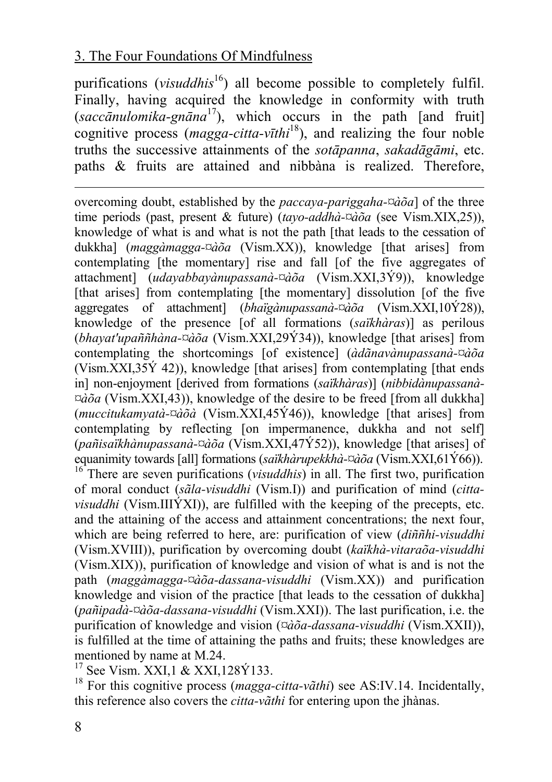purifications (*visuddhis*<sup>16</sup>) all become possible to completely fulfil. Finally, having acquired the knowledge in conformity with truth (*saccānulomika-gnāna* 17), which occurs in the path [and fruit] cognitive process (*magga-citta-vīthi*18), and realizing the four noble truths the successive attainments of the *sotāpanna*, *sakadāgāmi*, etc. paths & fruits are attained and nibbàna is realized. Therefore,

overcoming doubt, established by the *paccaya-pariggaha-¤àõa*] of the three time periods (past, present & future) (*tayo-addhà-¤àõa* (see Vism.XIX,25)), knowledge of what is and what is not the path [that leads to the cessation of dukkha] (*maggàmagga-¤àõa* (Vism.XX)), knowledge [that arises] from contemplating [the momentary] rise and fall [of the five aggregates of attachment] (*udayabbayànupassanà-¤àõa* (Vism.XXI,3Ý9)), knowledge [that arises] from contemplating [the momentary] dissolution [of the five aggregates of attachment] (*bhaïgànupassanà-¤àõa* (Vism.XXI,10Ý28)), knowledge of the presence [of all formations (*saïkhàras*)] as perilous (*bhayat'upaññhàna-¤àõa* (Vism.XXI,29Ý34)), knowledge [that arises] from contemplating the shortcomings [of existence] (*àdãnavànupassanà-¤àõa*   $(Vism. XXI, 35\dot{Y} 42)$ ), knowledge [that arises] from contemplating [that ends in] non-enjoyment [derived from formations (*saïkhàras*)] (*nibbidànupassanà- ¤àõa* (Vism.XXI,43)), knowledge of the desire to be freed [from all dukkha] (*muccitukamyatà-¤àõà* (Vism.XXI,45Ý46)), knowledge [that arises] from contemplating by reflecting [on impermanence, dukkha and not self] (*pañisaïkhànupassanà-¤àõa* (Vism.XXI,47Ý52)), knowledge [that arises] of equanimity towards [all] formations (*saïkhàrupekkhà-¤àõa* (Vism.XXI,61Ý66)). 16 There are seven purifications (*visuddhis*) in all. The first two, purification of moral conduct (*sãla-visuddhi* (Vism.I)) and purification of mind (*cittavisuddhi* (Vism.IIIÝXI)), are fulfilled with the keeping of the precepts, etc. and the attaining of the access and attainment concentrations; the next four, which are being referred to here, are: purification of view (*diññhi-visuddhi* (Vism.XVIII)), purification by overcoming doubt (*kaïkhà-vitaraõa-visuddhi* (Vism.XIX)), purification of knowledge and vision of what is and is not the path (*maggàmagga-¤àõa-dassana-visuddhi* (Vism.XX)) and purification knowledge and vision of the practice [that leads to the cessation of dukkha] (*pañipadà-¤àõa-dassana-visuddhi* (Vism.XXI)). The last purification, i.e. the purification of knowledge and vision (*¤àõa-dassana-visuddhi* (Vism.XXII)), is fulfilled at the time of attaining the paths and fruits; these knowledges are mentioned by name at M.24.<br><sup>17</sup> See Vism. XXI,1 & XXI,128Ý133.<br><sup>18</sup> For this cognitive process (*magga-citta-vãthi*) see AS:IV.14. Incidentally,

this reference also covers the *citta-vãthi* for entering upon the jhànas.

l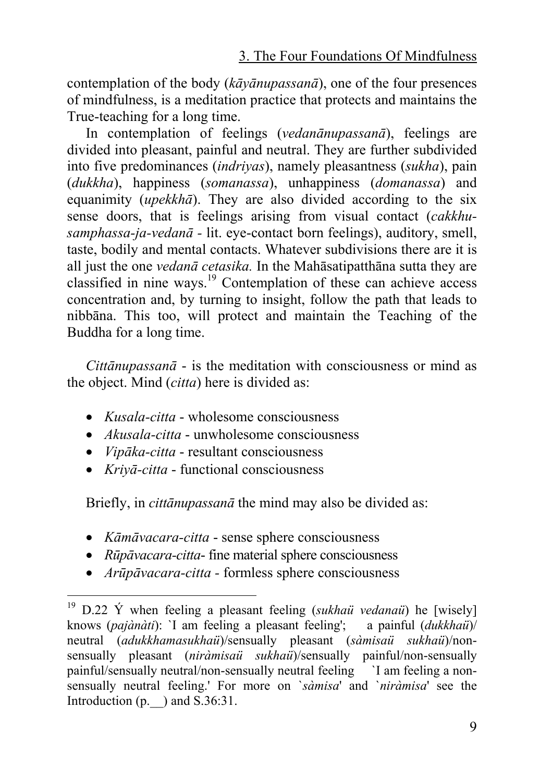contemplation of the body (*kāyānupassanā*), one of the four presences of mindfulness, is a meditation practice that protects and maintains the True-teaching for a long time.

In contemplation of feelings (*vedanānupassanā*), feelings are divided into pleasant, painful and neutral. They are further subdivided into five predominances (*indriyas*), namely pleasantness (*sukha*), pain (*dukkha*), happiness (*somanassa*), unhappiness (*domanassa*) and equanimity (*upekkhā*). They are also divided according to the six sense doors, that is feelings arising from visual contact (*cakkhusamphassa-ja-vedanā -* lit. eye-contact born feelings), auditory, smell, taste, bodily and mental contacts. Whatever subdivisions there are it is all just the one *vedanā cetasika.* In the Mahāsatipatthāna sutta they are classified in nine ways. 19 Contemplation of these can achieve access concentration and, by turning to insight, follow the path that leads to nibbāna. This too, will protect and maintain the Teaching of the Buddha for a long time.

*Cittānupassanā* - is the meditation with consciousness or mind as the object. Mind (*citta*) here is divided as:

- *Kusala-citta* wholesome consciousness
- *Akusala-citta* unwholesome consciousness
- *Vipāka-citta* resultant consciousness
- *Kriyā-citta* functional consciousness

Briefly, in *cittānupassanā* the mind may also be divided as:

- *Kāmāvacara-citta* sense sphere consciousness
- *Rūpāvacara-citta* fine material sphere consciousness
- *Arūpāvacara-citta* formless sphere consciousness

 <sup>19</sup> D.22 Ý when feeling a pleasant feeling (*sukhaü vedanaü*) he [wisely] knows (*pajànàti*): `I am feeling a pleasant feeling'; a painful (*dukkhaü*)/ neutral (*adukkhamasukhaü*)/sensually pleasant (*sàmisaü sukhaü*)/nonsensually pleasant (*niràmisaü sukhaü*)/sensually painful/non-sensually painful/sensually neutral/non-sensually neutral feeling `I am feeling a nonsensually neutral feeling.' For more on `*sàmisa*' and `*niràmisa*' see the Introduction  $(p. \quad)$  and S.36:31.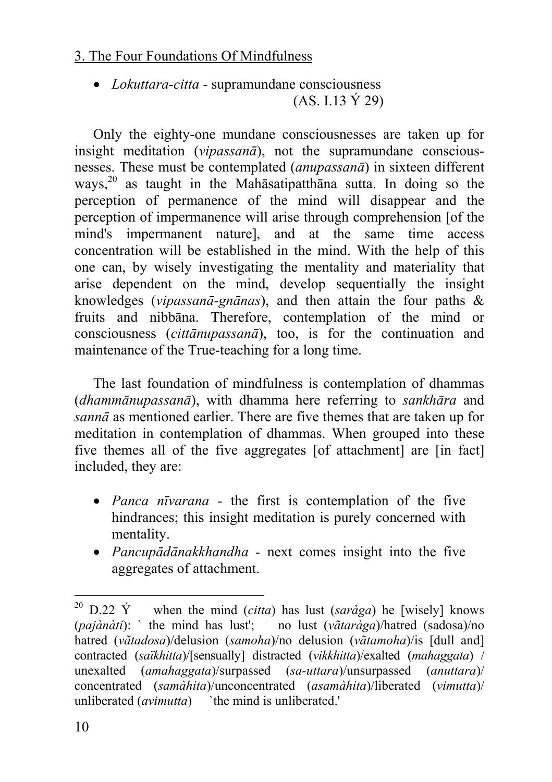• *Lokuttara-citta -* supramundane consciousness (AS. I.13 Ý 29)

Only the eighty-one mundane consciousnesses are taken up for insight meditation (*vipassanā*), not the supramundane consciousnesses. These must be contemplated (*anupassanā*) in sixteen different ways, 20 as taught in the Mahāsatipatthāna sutta. In doing so the perception of permanence of the mind will disappear and the perception of impermanence will arise through comprehension [of the mind's impermanent nature], and at the same time access concentration will be established in the mind. With the help of this one can, by wisely investigating the mentality and materiality that arise dependent on the mind, develop sequentially the insight knowledges (*vipassanā-gnānas*), and then attain the four paths & fruits and nibbāna. Therefore, contemplation of the mind or consciousness (*cittānupassanā*), too, is for the continuation and maintenance of the True-teaching for a long time.

The last foundation of mindfulness is contemplation of dhammas (*dhammānupassanā*), with dhamma here referring to *sankhāra* and *sannā* as mentioned earlier. There are five themes that are taken up for meditation in contemplation of dhammas. When grouped into these five themes all of the five aggregates [of attachment] are [in fact] included, they are:

- *Panca nīvarana* the first is contemplation of the five hindrances; this insight meditation is purely concerned with mentality.
- *Pancupādānakkhandha -* next comes insight into the five aggregates of attachment.

 $^{20}$  D.22 Y when the mind *(citta)* has lust *(saràga)* he [wisely] knows (*pajànàti*): ` the mind has lust'; no lust (*vãtaràga*)/hatred (sadosa)/no hatred (*vãtadosa*)/delusion (*samoha*)/no delusion (*vãtamoha*)/is [dull and] contracted (*saïkhitta*)/[sensually] distracted (*vikkhitta*)/exalted (*mahaggata*) / unexalted (*amahaggata*)/surpassed (*sa-uttara*)/unsurpassed (*anuttara*)/ concentrated (*samàhita*)/unconcentrated (*asamàhita*)/liberated (*vimutta*)/ unliberated (*avimutta*) the mind is unliberated.'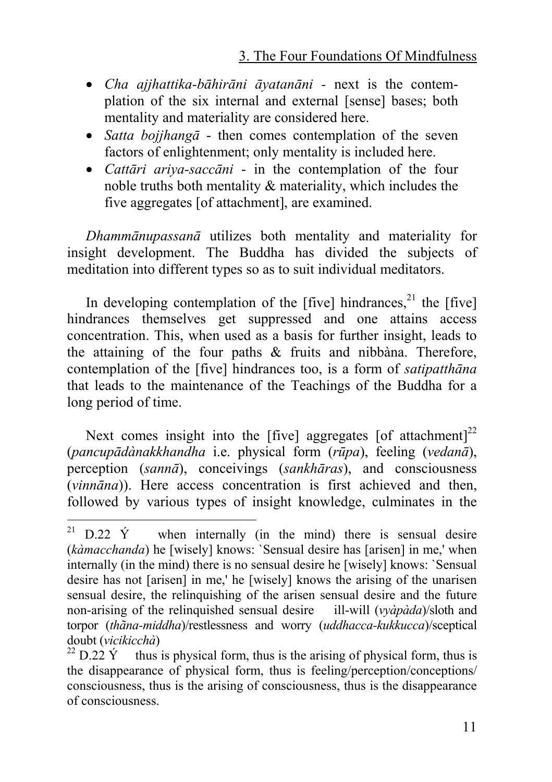- *Cha ajjhattika-bāhirāni āyatanāni -* next is the contemplation of the six internal and external [sense] bases; both mentality and materiality are considered here.
- *Satta bojjhangā* then comes contemplation of the seven factors of enlightenment; only mentality is included here.
- *Cattāri ariya-saccāni* in the contemplation of the four noble truths both mentality & materiality, which includes the five aggregates [of attachment], are examined.

*Dhammānupassanā* utilizes both mentality and materiality for insight development. The Buddha has divided the subjects of meditation into different types so as to suit individual meditators.

In developing contemplation of the  $[five]$  hindrances,<sup>21</sup> the  $[five]$ hindrances themselves get suppressed and one attains access concentration. This, when used as a basis for further insight, leads to the attaining of the four paths & fruits and nibbàna. Therefore, contemplation of the [five] hindrances too, is a form of *satipatthāna* that leads to the maintenance of the Teachings of the Buddha for a long period of time.

Next comes insight into the [five] aggregates [of attachment]<sup>22</sup> (*pancupādànakkhandha* i.e. physical form (*rūpa*), feeling (*vedanā*), perception (*sannā*), conceivings (*sankhāras*), and consciousness (*vinnāna*)). Here access concentration is first achieved and then, followed by various types of insight knowledge, culminates in the

<sup>&</sup>lt;sup>21</sup> D.22  $\dot{Y}$  when internally (in the mind) there is sensual desire (*kàmacchanda*) he [wisely] knows: `Sensual desire has [arisen] in me,' when internally (in the mind) there is no sensual desire he [wisely] knows: `Sensual desire has not [arisen] in me,' he [wisely] knows the arising of the unarisen sensual desire, the relinquishing of the arisen sensual desire and the future non-arising of the relinquished sensual desire ill-will (*vyàpàda*)/sloth and torpor (*thãna-middha*)/restlessness and worry (*uddhacca-kukkucca*)/sceptical doubt (*vicikicchà*)<br><sup>22</sup> D.22 Ý thus is physical form, thus is the arising of physical form, thus is

the disappearance of physical form, thus is feeling/perception/conceptions/ consciousness, thus is the arising of consciousness, thus is the disappearance of consciousness.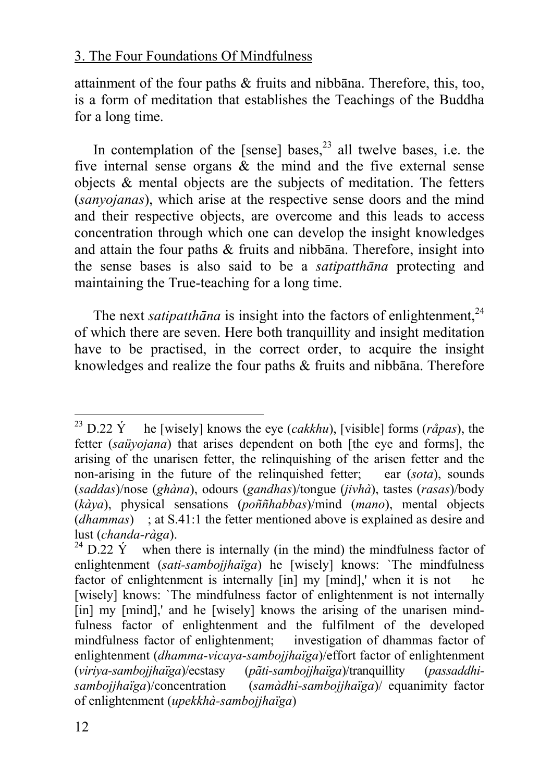attainment of the four paths & fruits and nibbāna. Therefore, this, too, is a form of meditation that establishes the Teachings of the Buddha for a long time.

In contemplation of the [sense] bases,<sup>23</sup> all twelve bases, i.e. the five internal sense organs & the mind and the five external sense objects & mental objects are the subjects of meditation. The fetters (*sanyojanas*), which arise at the respective sense doors and the mind and their respective objects, are overcome and this leads to access concentration through which one can develop the insight knowledges and attain the four paths & fruits and nibbāna. Therefore, insight into the sense bases is also said to be a *satipatthāna* protecting and maintaining the True-teaching for a long time.

The next *satipatthana* is insight into the factors of enlightenment.<sup>24</sup> of which there are seven. Here both tranquillity and insight meditation have to be practised, in the correct order, to acquire the insight knowledges and realize the four paths & fruits and nibbāna. Therefore

<sup>&</sup>lt;sup>23</sup> D.22  $\acute{Y}$  he [wisely] knows the eye (*cakkhu*), [visible] forms (*råpas*), the fetter (*saüyojana*) that arises dependent on both [the eye and forms], the arising of the unarisen fetter, the relinquishing of the arisen fetter and the non-arising in the future of the relinquished fetter; ear (*sota*), sounds (*saddas*)/nose (*ghàna*), odours (*gandhas*)/tongue (*jivhà*), tastes (*rasas*)/body (*kàya*), physical sensations (*poññhabbas*)/mind (*mano*), mental objects (*dhammas*) ; at S.41:1 the fetter mentioned above is explained as desire and lust (*chanda-ràga*).

 $l^{24}$  D.22 Ý when there is internally (in the mind) the mindfulness factor of enlightenment (*sati-sambojjhaïga*) he [wisely] knows: `The mindfulness factor of enlightenment is internally [in] my [mind],' when it is not he [wisely] knows: `The mindfulness factor of enlightenment is not internally [in] my [mind],' and he [wisely] knows the arising of the unarisen mindfulness factor of enlightenment and the fulfilment of the developed mindfulness factor of enlightenment; investigation of dhammas factor of enlightenment (*dhamma-vicaya-sambojjhaïga*)/effort factor of enlightenment (*viriya-sambojjhaïga*)/ecstasy (*pãti-sambojjhaïga*)/tranquillity (*passaddhisambojjhaïga*)/concentration (*samàdhi-sambojjhaïga*)/ equanimity factor of enlightenment (*upekkhà-sambojjhaïga*)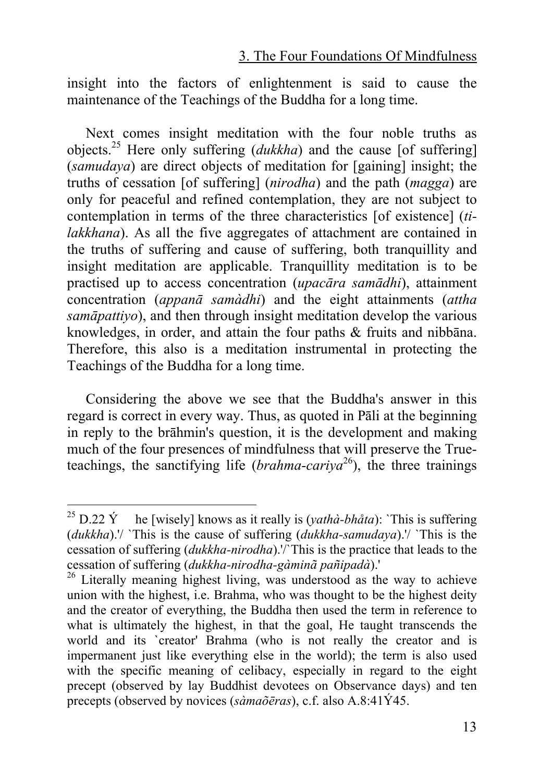insight into the factors of enlightenment is said to cause the maintenance of the Teachings of the Buddha for a long time.

Next comes insight meditation with the four noble truths as objects.25 Here only suffering (*dukkha*) and the cause [of suffering] (*samudaya*) are direct objects of meditation for [gaining] insight; the truths of cessation [of suffering] (*nirodha*) and the path (*magga*) are only for peaceful and refined contemplation, they are not subject [to](#page-12-0) contemplation in terms of the three characteristics [of existence] (*tilakkhana*). As all the five aggregates of attachment are contained in the truths of suffering and cause of suffering, both tranquillity and insight meditation are applicable. Tranquillity meditation is to be practised up to access concentration (*upacāra samādhi*), attainment concentration (*appanā samàdhi*) and the eight attainments (*attha samāpattiyo*), and then through insight meditation develop the various knowledges, in order, and attain the four paths & fruits and nibbāna. Therefore, this also is a meditation instrumental in protecting the Teachings of the Buddha for a long time.

Considering the above we see that the Buddha's answer in this regard is correct in every way. Thus, as quoted in Pāli at the beginning in reply to the brāhmin's question, it is the development and making much of the four presences of mindfulness that will preserve the Trueteachings, the sanctifying life (*brahma-cariva*<sup>26</sup>), the three trainings

<sup>&</sup>lt;sup>25</sup> D.22 Ý he [wisely] knows as it really is (*yathà-bhåta*): `This is suffering (*dukkha*).'/ `This is the cause of suffering (*dukkha-samudaya*).'/ `This is the cessation of suffering (*dukkha-nirodha*).'/`This is the practice that leads to the cessation of suffering (*dukkha-nirodha-gàminã pañipadà*).' <sup>26</sup> Literally meaning highest living, was understood as the way to achieve

<span id="page-12-0"></span>union with the highest, i.e. Brahma, who was thought to be the highest deity and the creator of everything, the Buddha then used the term in reference to what is ultimately the highest, in that the goal, He taught transcends the world and its `creator' Brahma (who is not really the creator and is impermanent just like everything else in the world); the term is also used with the specific meaning of celibacy, especially in regard to the eight precept (observed by lay Buddhist devotees on Observance days) and ten precepts (observed by novices (*sàmaõēras*), c.f. also A.8:41Ý45.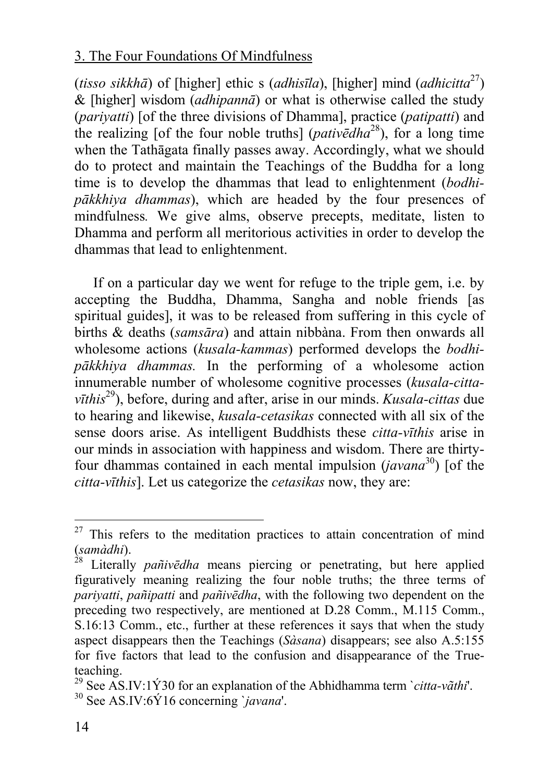(*tisso sikkhā*) of [higher] ethic s (*adhisīla*), [higher] mind (*adhicitta*27) & [higher] wisdom (*adhipannā*) or what is otherwise called the study (*pariyatti*) [of the three divisions of Dhamma], practice (*patipatti*) and the realizing [of the four [no](#page-13-0)ble truths] (*pativēdha*28), for a long time when the Tathāgata finally passes away. Accordingly, what we should do to protect and maintain the Teachings of the Buddha for a long time is to develop the dhammas that lead to enlightenment (*bodhipākkhiya dhammas*), which are headed by the four presences of mindfulness*.* We give alms, observe precepts, meditate, listen to Dhamma and perform all meritorious activities in order to develop the dhammas that lead to enlightenment.

If on a particular day we went for refuge to the triple gem, i.e. by accepting the Buddha, Dhamma, Sangha and noble friends [as spiritual guides], it was to be released from suffering in this cycle of births & deaths (*samsāra*) and attain nibbàna. From then onwards all wholesome actions (*kusala-kammas*) performed develops the *bodhipākkhiya dhammas.* In the performing of a wholesome action innumerable number of wholesome cognitive processes (*kusala-cittavīthis*29), before, during and after, arise in our minds. *Kusala-cittas* due to hearing and likewise, *kusala-cetasikas* connected with all six of the sense doors arise. As intelligent Buddhists these *citta-vīthis* arise in our minds in association with happiness and wisdom. There are thirtyfour dhammas contained in each mental impulsion (*javana*30) [of the *citta-vīthis*]. Let us categorize the *cetasikas* now, they are:

 $27$  This refers to the meditation practices to attain concentration of mind (*samàdhi*). 28 Literally *pañivēdha* means piercing or penetrating, but here applied

figuratively meaning realizing the four noble truths; the three terms of *pariyatti*, *pañipatti* and *pañivēdha*, with the following two dependent on the preceding two respectively, are mentioned at D.28 Comm., M.115 Comm., S.16:13 Comm., etc., further at these references it says that when the study aspect disappears then the Teachings (*Sàsana*) disappears; see also A.5:155 for five factors that lead to the confusion and disappearance of the Trueteaching.

<span id="page-13-0"></span><sup>29</sup> See AS.IV:1Ý30 for an explanation of the Abhidhamma term `*citta-vãthi*'. 30 See AS.IV:6Ý16 concerning `*javana*'.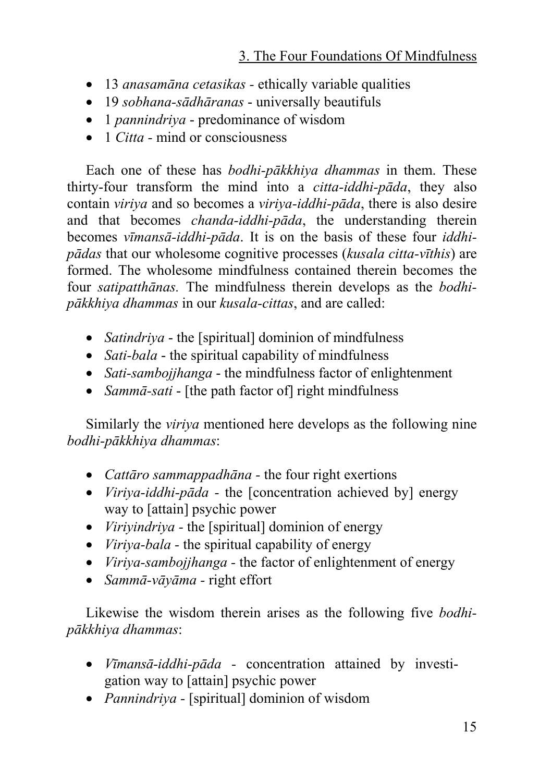- 13 *anasamāna cetasikas -* ethically variable qualities
- 19 *sobhana-sādhāranas* universally beautifuls
- 1 *pannindriya* predominance of wisdom
- 1 *Citta* mind or consciousness

Each one of these has *bodhi-pākkhiya dhammas* in them. These thirty-four transform the mind into a *citta-iddhi-pāda*, they also contain *viriya* and so becomes a *viriya-iddhi-pāda*, there is also desire and that becomes *chanda-iddhi-pāda*, the understanding therein becomes *vīmansā-iddhi-pāda*. It is on the basis of these four *iddhipādas* that our wholesome cognitive processes (*kusala citta-vīthis*) are formed. The wholesome mindfulness contained therein becomes the four *satipatthānas.* The mindfulness therein develops as the *bodhipākkhiya dhammas* in our *kusala-cittas*, and are called:

- *Satindriya* the [spiritual] dominion of mindfulness
- *Sati-bala* the spiritual capability of mindfulness
- *Sati-sambojjhanga* the mindfulness factor of enlightenment
- *Sammā-sati* [the path factor of] right mindfulness

Similarly the *viriya* mentioned here develops as the following nine *bodhi-pākkhiya dhammas*:

- *Cattāro sammappadhāna -* the four right exertions
- *Viriya-iddhi-pāda -* the [concentration achieved by] energy way to [attain] psychic power
- *Viriyindriya -* the [spiritual] dominion of energy
- *Viriya-bala* the spiritual capability of energy
- *Viriya-sambojjhanga -* the factor of enlightenment of energy
- *Sammā-vāyāma* right effort

Likewise the wisdom therein arises as the following five *bodhipākkhiya dhammas*:

- *Vīmansā-iddhi-pāda -* concentration attained by investigation way to [attain] psychic power
- *Pannindriya -* [spiritual] dominion of wisdom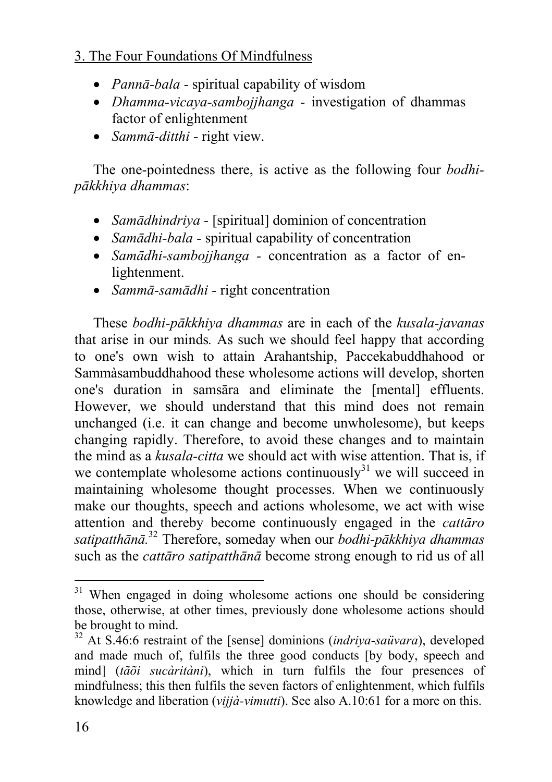- *Pannā-bala -* spiritual capability of wisdom
- *Dhamma-vicaya-sambojjhanga* investigation of dhammas factor of enlightenment
- *Sammā-ditthi -* right view.

The one-pointedness there, is active as the following four *bodhipākkhiya dhammas*:

- *Samādhindriva* [spiritual] dominion of concentration
- *Samādhi-bala* spiritual capability of concentration
- *Samādhi-sambojjhanga* concentration as a factor of enlightenment.
- *Sammā-samādhi -* right co[nce](#page-15-0)ntration

These *bodhi-pākkhiya dhammas* are in each of the *kusala-javanas*  that arise in our minds*.* As such we should feel happy that according to one's own wish to attain Arahantship, Paccekabuddhahood or Sammàsambuddhahood these wholesome actions will develop, shorten one's duration in samsāra and eliminate the [mental] effluents. However, we should understand that this mind does not remain unchanged (i.e. it can change and become unwholesome), but keeps changing rapidly. Therefore, to avoid these changes and to maintain the mind as a *kusala-citta* we should act with wise attention. That is, if we contemplate wholesome actions continuously $31$  we will succeed in maintaining wholesome thought processes. When we continuously make our thoughts, speech and actions wholesome, we act with wise attention and thereby become continuously engaged in the *cattāro satipatthānā.* <sup>32</sup> Therefore, someday when our *bodhi-pākkhiya dhammas* such as the *cattāro satipatthānā* become strong enough to rid us of all

<sup>&</sup>lt;sup>31</sup> When engaged in doing wholesome actions one should be considering those, otherwise, at other times, previously done wholesome actions should be brought to mind. 32 At S.46:6 restraint of the [sense] dominions (*indriya-saüvara*), developed

<span id="page-15-0"></span>and made much of, fulfils the three good conducts [by body, speech and mind] (*tãõi sucàritàni*), which in turn fulfils the four presences of mindfulness; this then fulfils the seven factors of enlightenment, which fulfils knowledge and liberation (*vijjà-vimutti*). See also A.10:61 for a more on this.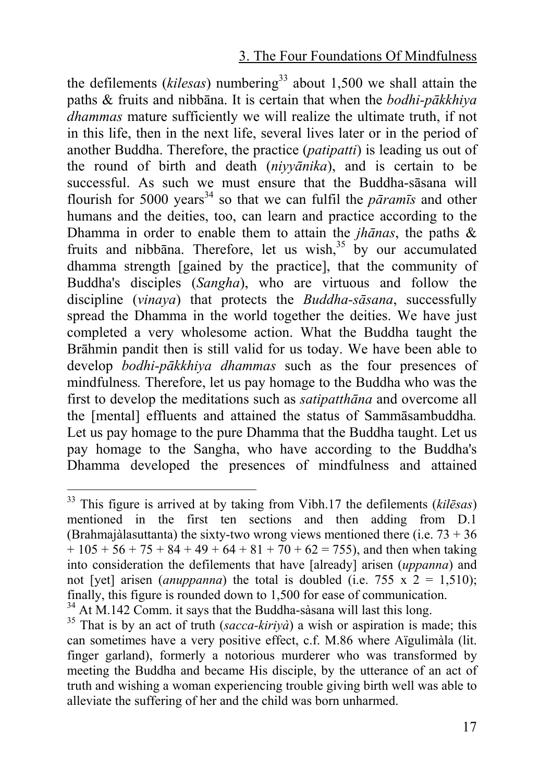the defilements ( $kilesas$ ) numbering<sup>33</sup> about 1,500 we shall attain the paths & fruits and nibbāna. It is certain that when the *bodhi-pākkhiya dhammas* mature sufficiently we will realize the ultimate truth, if not in this life, then in the next life, several lives later or in the period of another Buddha. Therefore, the practice (*patipatti*) is leading us out of the round of birth and death (*niyyānika*), and is certain to be successful. As such we must ensure that the Buddha-sāsana will flourish for 5000 years<sup>34</sup> so that we can fulfil the *paramis* and other humans and the deities, too, can learn and practice according to the Dhamma in order to enable them to attain the *jhānas*, the paths & fruits and nibbana. Therefore, let us wish, $35$  by our accumulated dhamma strength [gained by the practice], that the community of Buddha's disciples (*Sangha*), who are virtuous and follow the discipline (*vinaya*) that protects the *Buddha-sāsana*, successfully spread the Dhamma in the world together the deities. We have just completed a very wholesome action. What the Buddha taught the Brāhmin pandit then is still valid for us today. We have been able to develop *bodhi-pākkhiya dhammas* such as the four presences of mindfulness*.* Therefore, let us pay homage to the Buddha who was the first to develop the meditations such as *satipatthāna* and overcome all the [mental] effluents and attained the status of Sammāsambuddha*.* Let us pay homage to the pure Dhamma that the Buddha taught. Let us pay homage to the Sangha, who have according to the Buddha's Dhamma developed the presences of mindfulness and attained

 <sup>33</sup> This figure is arrived at by taking from Vibh.17 the defilements (*kilēsas*) mentioned in the first ten sections and then adding from D.1 (Brahmajàlasuttanta) the sixty-two wrong views mentioned there (i.e.  $73 + 36$ )  $+ 105 + 56 + 75 + 84 + 49 + 64 + 81 + 70 + 62 = 755$ , and then when taking into consideration the defilements that have [already] arisen (*uppanna*) and not [yet] arisen (*anuppanna*) the total is doubled (i.e. 755 x  $2 = 1,510$ ); finally, this figure is rounded down to 1.500 for ease of communication.

<sup>&</sup>lt;sup>34</sup> At M.142 Comm. it says that the Buddha-sàsana will last this long.<br><sup>35</sup> That is by an act of truth (*sacca-kiriyà*) a wish or aspiration is made; this

can sometimes have a very positive effect, c.f. M.86 where Aïgulimàla (lit. finger garland), formerly a notorious murderer who was transformed by meeting the Buddha and became His disciple, by the utterance of an act of truth and wishing a woman experiencing trouble giving birth well was able to alleviate the suffering of her and the child was born unharmed.